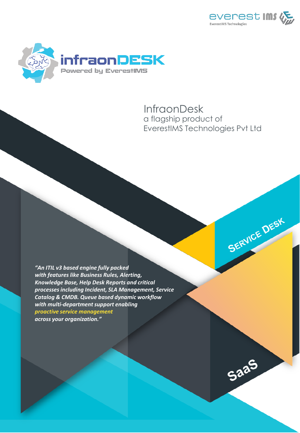

SERVICE DESK

SaaS



# a flagship product of EverestIMS Technologies Pvt Ltd **InfraonDesk**

*"An ITIL v3 based engine fully packed with features like Business Rules, Alerting, Knowledge Base, Help Desk Reports and critical processes including Incident, SLA Management, Service Catalog & CMDB. Queue based dynamic workflow with multi-department support enabling proactive service management across your organization."*